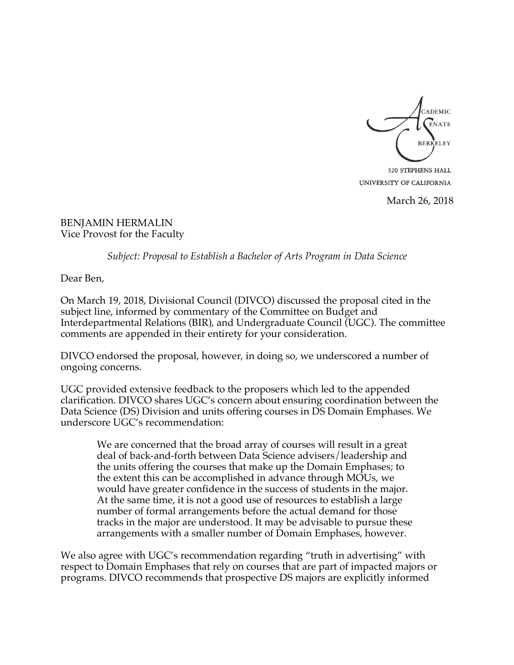

320 STEPHENS HALL UNIVERSITY OF CALIFORNIA

March 26, 2018

BENJAMIN HERMALIN Vice Provost for the Faculty

*Subject: Proposal to Establish a Bachelor of Arts Program in Data Science*

Dear Ben,

On March 19, 2018, Divisional Council (DIVCO) discussed the proposal cited in the subject line, informed by commentary of the Committee on Budget and Interdepartmental Relations (BIR), and Undergraduate Council (UGC). The committee comments are appended in their entirety for your consideration.

DIVCO endorsed the proposal, however, in doing so, we underscored a number of ongoing concerns.

UGC provided extensive feedback to the proposers which led to the appended clarification. DIVCO shares UGC's concern about ensuring coordination between the Data Science (DS) Division and units offering courses in DS Domain Emphases. We underscore UGC's recommendation:

We are concerned that the broad array of courses will result in a great deal of back-and-forth between Data Science advisers/leadership and the units offering the courses that make up the Domain Emphases; to the extent this can be accomplished in advance through MOUs, we would have greater confidence in the success of students in the major. At the same time, it is not a good use of resources to establish a large number of formal arrangements before the actual demand for those tracks in the major are understood. It may be advisable to pursue these arrangements with a smaller number of Domain Emphases, however.

We also agree with UGC's recommendation regarding "truth in advertising" with respect to Domain Emphases that rely on courses that are part of impacted majors or programs. DIVCO recommends that prospective DS majors are explicitly informed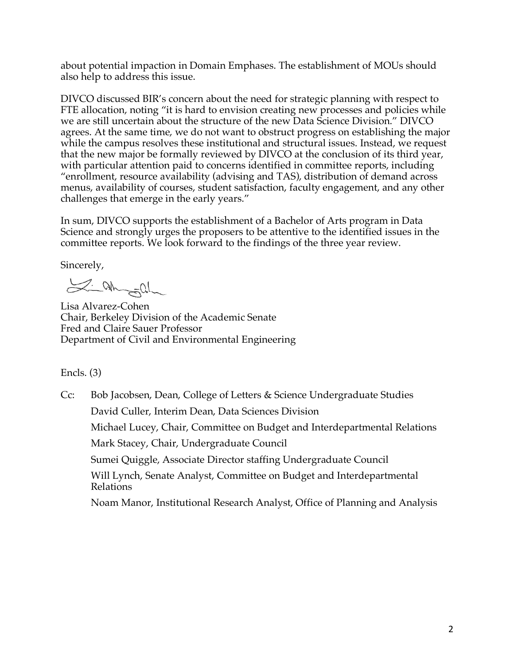about potential impaction in Domain Emphases. The establishment of MOUs should also help to address this issue.

DIVCO discussed BIR's concern about the need for strategic planning with respect to FTE allocation, noting "it is hard to envision creating new processes and policies while we are still uncertain about the structure of the new Data Science Division." DIVCO agrees. At the same time, we do not want to obstruct progress on establishing the major while the campus resolves these institutional and structural issues. Instead, we request that the new major be formally reviewed by DIVCO at the conclusion of its third year, with particular attention paid to concerns identified in committee reports, including "enrollment, resource availability (advising and TAS), distribution of demand across menus, availability of courses, student satisfaction, faculty engagement, and any other challenges that emerge in the early years."

In sum, DIVCO supports the establishment of a Bachelor of Arts program in Data Science and strongly urges the proposers to be attentive to the identified issues in the committee reports. We look forward to the findings of the three year review.

Sincerely,

Si ah soll

Lisa Alvarez-Cohen Chair, Berkeley Division of the Academic Senate Fred and Claire Sauer Professor Department of Civil and Environmental Engineering

Encls. (3)

Cc: Bob Jacobsen, Dean, College of Letters & Science Undergraduate Studies David Culler, Interim Dean, Data Sciences Division Michael Lucey, Chair, Committee on Budget and Interdepartmental Relations Mark Stacey, Chair, Undergraduate Council Sumei Quiggle, Associate Director staffing Undergraduate Council Will Lynch, Senate Analyst, Committee on Budget and Interdepartmental Relations Noam Manor, Institutional Research Analyst, Office of Planning and Analysis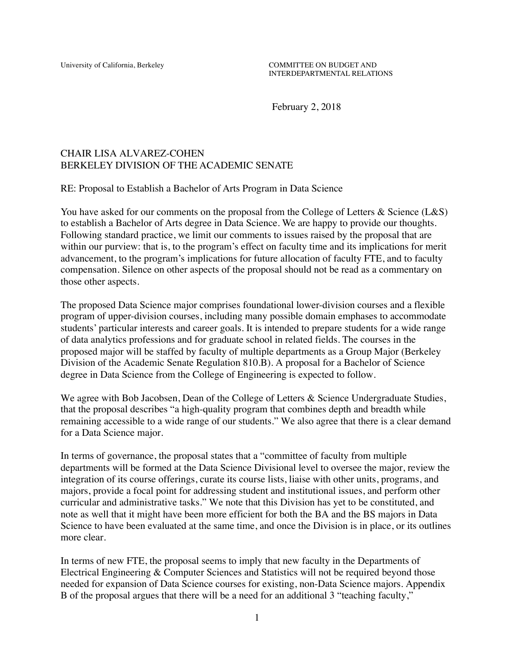University of California, Berkeley COMMITTEE ON BUDGET AND INTERDEPARTMENTAL RELATIONS

February 2, 2018

#### CHAIR LISA ALVAREZ-COHEN BERKELEY DIVISION OF THE ACADEMIC SENATE

RE: Proposal to Establish a Bachelor of Arts Program in Data Science

You have asked for our comments on the proposal from the College of Letters & Science (L&S) to establish a Bachelor of Arts degree in Data Science. We are happy to provide our thoughts. Following standard practice, we limit our comments to issues raised by the proposal that are within our purview: that is, to the program's effect on faculty time and its implications for merit advancement, to the program's implications for future allocation of faculty FTE, and to faculty compensation. Silence on other aspects of the proposal should not be read as a commentary on those other aspects.

The proposed Data Science major comprises foundational lower-division courses and a flexible program of upper-division courses, including many possible domain emphases to accommodate students' particular interests and career goals. It is intended to prepare students for a wide range of data analytics professions and for graduate school in related fields. The courses in the proposed major will be staffed by faculty of multiple departments as a Group Major (Berkeley Division of the Academic Senate Regulation 810.B). A proposal for a Bachelor of Science degree in Data Science from the College of Engineering is expected to follow.

We agree with Bob Jacobsen, Dean of the College of Letters & Science Undergraduate Studies, that the proposal describes "a high-quality program that combines depth and breadth while remaining accessible to a wide range of our students." We also agree that there is a clear demand for a Data Science major.

In terms of governance, the proposal states that a "committee of faculty from multiple departments will be formed at the Data Science Divisional level to oversee the major, review the integration of its course offerings, curate its course lists, liaise with other units, programs, and majors, provide a focal point for addressing student and institutional issues, and perform other curricular and administrative tasks." We note that this Division has yet to be constituted, and note as well that it might have been more efficient for both the BA and the BS majors in Data Science to have been evaluated at the same time, and once the Division is in place, or its outlines more clear.

In terms of new FTE, the proposal seems to imply that new faculty in the Departments of Electrical Engineering & Computer Sciences and Statistics will not be required beyond those needed for expansion of Data Science courses for existing, non-Data Science majors. Appendix B of the proposal argues that there will be a need for an additional 3 "teaching faculty,"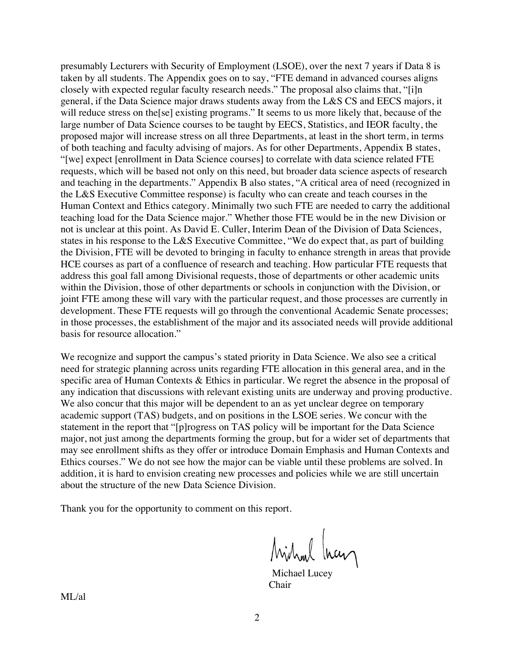presumably Lecturers with Security of Employment (LSOE), over the next 7 years if Data 8 is taken by all students. The Appendix goes on to say, "FTE demand in advanced courses aligns closely with expected regular faculty research needs." The proposal also claims that, "[i]n general, if the Data Science major draws students away from the L&S CS and EECS majors, it will reduce stress on the [se] existing programs." It seems to us more likely that, because of the large number of Data Science courses to be taught by EECS, Statistics, and IEOR faculty, the proposed major will increase stress on all three Departments, at least in the short term, in terms of both teaching and faculty advising of majors. As for other Departments, Appendix B states, "[we] expect [enrollment in Data Science courses] to correlate with data science related FTE requests, which will be based not only on this need, but broader data science aspects of research and teaching in the departments." Appendix B also states, "A critical area of need (recognized in the L&S Executive Committee response) is faculty who can create and teach courses in the Human Context and Ethics category. Minimally two such FTE are needed to carry the additional teaching load for the Data Science major." Whether those FTE would be in the new Division or not is unclear at this point. As David E. Culler, Interim Dean of the Division of Data Sciences, states in his response to the L&S Executive Committee, "We do expect that, as part of building the Division, FTE will be devoted to bringing in faculty to enhance strength in areas that provide HCE courses as part of a confluence of research and teaching. How particular FTE requests that address this goal fall among Divisional requests, those of departments or other academic units within the Division, those of other departments or schools in conjunction with the Division, or joint FTE among these will vary with the particular request, and those processes are currently in development. These FTE requests will go through the conventional Academic Senate processes; in those processes, the establishment of the major and its associated needs will provide additional basis for resource allocation."

We recognize and support the campus's stated priority in Data Science. We also see a critical need for strategic planning across units regarding FTE allocation in this general area, and in the specific area of Human Contexts & Ethics in particular. We regret the absence in the proposal of any indication that discussions with relevant existing units are underway and proving productive. We also concur that this major will be dependent to an as yet unclear degree on temporary academic support (TAS) budgets, and on positions in the LSOE series. We concur with the statement in the report that "[p]rogress on TAS policy will be important for the Data Science major, not just among the departments forming the group, but for a wider set of departments that may see enrollment shifts as they offer or introduce Domain Emphasis and Human Contexts and Ethics courses." We do not see how the major can be viable until these problems are solved. In addition, it is hard to envision creating new processes and policies while we are still uncertain about the structure of the new Data Science Division.

Thank you for the opportunity to comment on this report.

Michael Incen

Chair

ML/al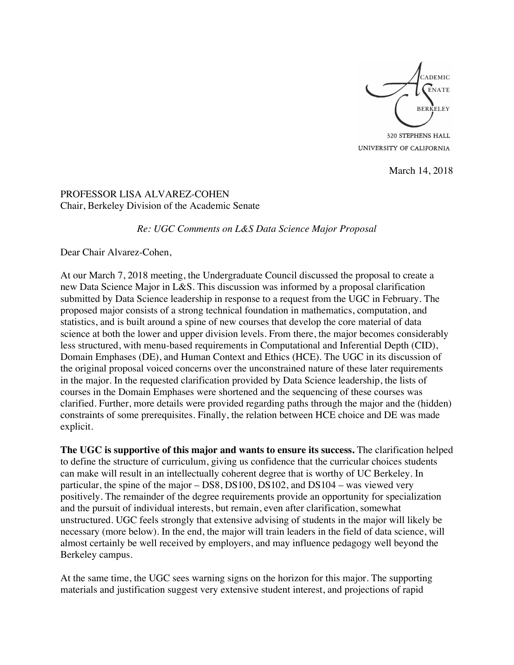

320 STEPHENS HALL UNIVERSITY OF CALIFORNIA

March 14, 2018

PROFESSOR LISA ALVAREZ-COHEN Chair, Berkeley Division of the Academic Senate

*Re: UGC Comments on L&S Data Science Major Proposal*

Dear Chair Alvarez-Cohen,

At our March 7, 2018 meeting, the Undergraduate Council discussed the proposal to create a new Data Science Major in L&S. This discussion was informed by a proposal clarification submitted by Data Science leadership in response to a request from the UGC in February. The proposed major consists of a strong technical foundation in mathematics, computation, and statistics, and is built around a spine of new courses that develop the core material of data science at both the lower and upper division levels. From there, the major becomes considerably less structured, with menu-based requirements in Computational and Inferential Depth (CID), Domain Emphases (DE), and Human Context and Ethics (HCE). The UGC in its discussion of the original proposal voiced concerns over the unconstrained nature of these later requirements in the major. In the requested clarification provided by Data Science leadership, the lists of courses in the Domain Emphases were shortened and the sequencing of these courses was clarified. Further, more details were provided regarding paths through the major and the (hidden) constraints of some prerequisites. Finally, the relation between HCE choice and DE was made explicit.

**The UGC is supportive of this major and wants to ensure its success.** The clarification helped to define the structure of curriculum, giving us confidence that the curricular choices students can make will result in an intellectually coherent degree that is worthy of UC Berkeley. In particular, the spine of the major – DS8, DS100, DS102, and DS104 – was viewed very positively. The remainder of the degree requirements provide an opportunity for specialization and the pursuit of individual interests, but remain, even after clarification, somewhat unstructured. UGC feels strongly that extensive advising of students in the major will likely be necessary (more below). In the end, the major will train leaders in the field of data science, will almost certainly be well received by employers, and may influence pedagogy well beyond the Berkeley campus.

At the same time, the UGC sees warning signs on the horizon for this major. The supporting materials and justification suggest very extensive student interest, and projections of rapid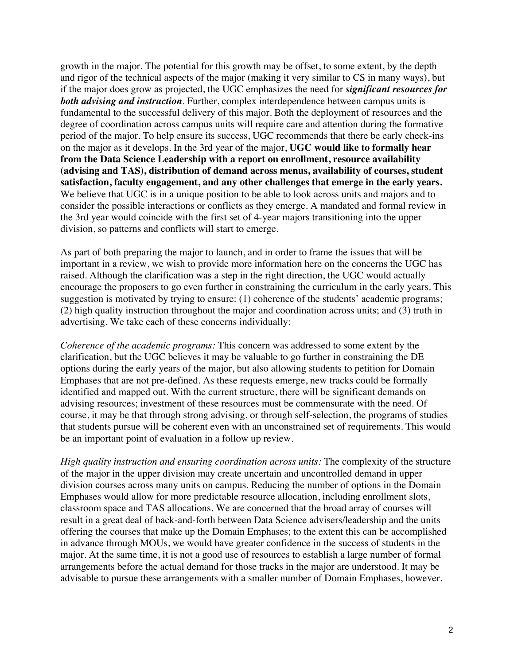growth in the major. The potential for this growth may be offset, to some extent, by the depth and rigor of the technical aspects of the major (making it very similar to CS in many ways), but if the major does grow as projected, the UGC emphasizes the need for *significant resources for both advising and instruction*. Further, complex interdependence between campus units is fundamental to the successful delivery of this major. Both the deployment of resources and the degree of coordination across campus units will require care and attention during the formative period of the major. To help ensure its success, UGC recommends that there be early check-ins on the major as it develops. In the 3rd year of the major, **UGC would like to formally hear from the Data Science Leadership with a report on enrollment, resource availability (advising and TAS), distribution of demand across menus, availability of courses, student satisfaction, faculty engagement, and any other challenges that emerge in the early years.** We believe that UGC is in a unique position to be able to look across units and majors and to consider the possible interactions or conflicts as they emerge. A mandated and formal review in the 3rd year would coincide with the first set of 4-year majors transitioning into the upper division, so patterns and conflicts will start to emerge.

As part of both preparing the major to launch, and in order to frame the issues that will be important in a review, we wish to provide more information here on the concerns the UGC has raised. Although the clarification was a step in the right direction, the UGC would actually encourage the proposers to go even further in constraining the curriculum in the early years. This suggestion is motivated by trying to ensure: (1) coherence of the students' academic programs; (2) high quality instruction throughout the major and coordination across units; and (3) truth in advertising. We take each of these concerns individually:

*Coherence of the academic programs:* This concern was addressed to some extent by the clarification, but the UGC believes it may be valuable to go further in constraining the DE options during the early years of the major, but also allowing students to petition for Domain Emphases that are not pre-defined. As these requests emerge, new tracks could be formally identified and mapped out. With the current structure, there will be significant demands on advising resources; investment of these resources must be commensurate with the need. Of course, it may be that through strong advising, or through self-selection, the programs of studies that students pursue will be coherent even with an unconstrained set of requirements. This would be an important point of evaluation in a follow up review.

*High quality instruction and ensuring coordination across units:* The complexity of the structure of the major in the upper division may create uncertain and uncontrolled demand in upper division courses across many units on campus. Reducing the number of options in the Domain Emphases would allow for more predictable resource allocation, including enrollment slots, classroom space and TAS allocations. We are concerned that the broad array of courses will result in a great deal of back-and-forth between Data Science advisers/leadership and the units offering the courses that make up the Domain Emphases; to the extent this can be accomplished in advance through MOUs, we would have greater confidence in the success of students in the major. At the same time, it is not a good use of resources to establish a large number of formal arrangements before the actual demand for those tracks in the major are understood. It may be advisable to pursue these arrangements with a smaller number of Domain Emphases, however.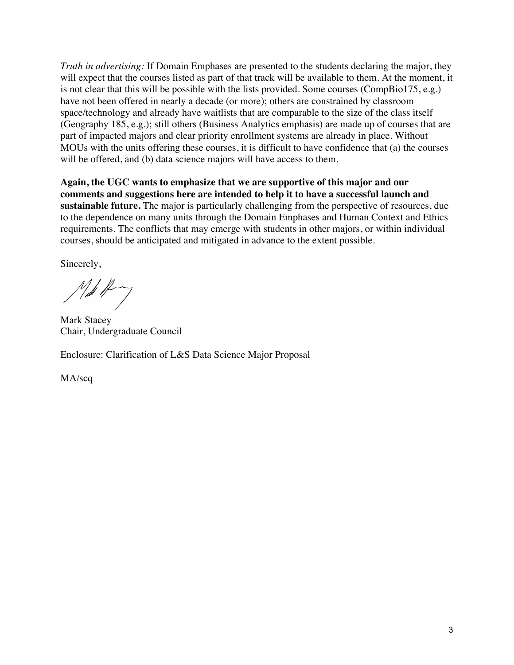*Truth in advertising:* If Domain Emphases are presented to the students declaring the major, they will expect that the courses listed as part of that track will be available to them. At the moment, it is not clear that this will be possible with the lists provided. Some courses (CompBio175, e.g.) have not been offered in nearly a decade (or more); others are constrained by classroom space/technology and already have waitlists that are comparable to the size of the class itself (Geography 185, e.g.); still others (Business Analytics emphasis) are made up of courses that are part of impacted majors and clear priority enrollment systems are already in place. Without MOUs with the units offering these courses, it is difficult to have confidence that (a) the courses will be offered, and (b) data science majors will have access to them.

**Again, the UGC wants to emphasize that we are supportive of this major and our comments and suggestions here are intended to help it to have a successful launch and sustainable future.** The major is particularly challenging from the perspective of resources, due to the dependence on many units through the Domain Emphases and Human Context and Ethics requirements. The conflicts that may emerge with students in other majors, or within individual courses, should be anticipated and mitigated in advance to the extent possible.

Sincerely,

 $\mathcal{N}_{\mu\nu}$ 

Mark Stacey Chair, Undergraduate Council

Enclosure: Clarification of L&S Data Science Major Proposal

MA/scq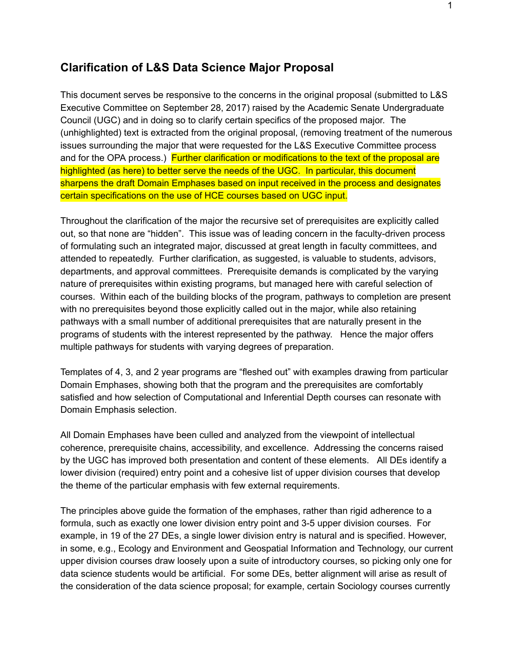## **Clarification of L&S Data Science Major Proposal**

This document serves be responsive to the concerns in the original proposal (submitted to L&S Executive Committee on September 28, 2017) raised by the Academic Senate Undergraduate Council (UGC) and in doing so to clarify certain specifics of the proposed major. The (unhighlighted) text is extracted from the original proposal, (removing treatment of the numerous issues surrounding the major that were requested for the L&S Executive Committee process and for the OPA process.) Further clarification or modifications to the text of the proposal are highlighted (as here) to better serve the needs of the UGC. In particular, this document sharpens the draft Domain Emphases based on input received in the process and designates certain specifications on the use of HCE courses based on UGC input.

Throughout the clarification of the major the recursive set of prerequisites are explicitly called out, so that none are "hidden". This issue was of leading concern in the faculty-driven process of formulating such an integrated major, discussed at great length in faculty committees, and attended to repeatedly. Further clarification, as suggested, is valuable to students, advisors, departments, and approval committees. Prerequisite demands is complicated by the varying nature of prerequisites within existing programs, but managed here with careful selection of courses. Within each of the building blocks of the program, pathways to completion are present with no prerequisites beyond those explicitly called out in the major, while also retaining pathways with a small number of additional prerequisites that are naturally present in the programs of students with the interest represented by the pathway. Hence the major offers multiple pathways for students with varying degrees of preparation.

Templates of 4, 3, and 2 year programs are "fleshed out" with examples drawing from particular Domain Emphases, showing both that the program and the prerequisites are comfortably satisfied and how selection of Computational and Inferential Depth courses can resonate with Domain Emphasis selection.

All Domain Emphases have been culled and analyzed from the viewpoint of intellectual coherence, prerequisite chains, accessibility, and excellence. Addressing the concerns raised by the UGC has improved both presentation and content of these elements. All DEs identify a lower division (required) entry point and a cohesive list of upper division courses that develop the theme of the particular emphasis with few external requirements.

The principles above guide the formation of the emphases, rather than rigid adherence to a formula, such as exactly one lower division entry point and 35 upper division courses. For example, in 19 of the 27 DEs, a single lower division entry is natural and is specified. However, in some, e.g., Ecology and Environment and Geospatial Information and Technology, our current upper division courses draw loosely upon a suite of introductory courses, so picking only one for data science students would be artificial. For some DEs, better alignment will arise as result of the consideration of the data science proposal; for example, certain Sociology courses currently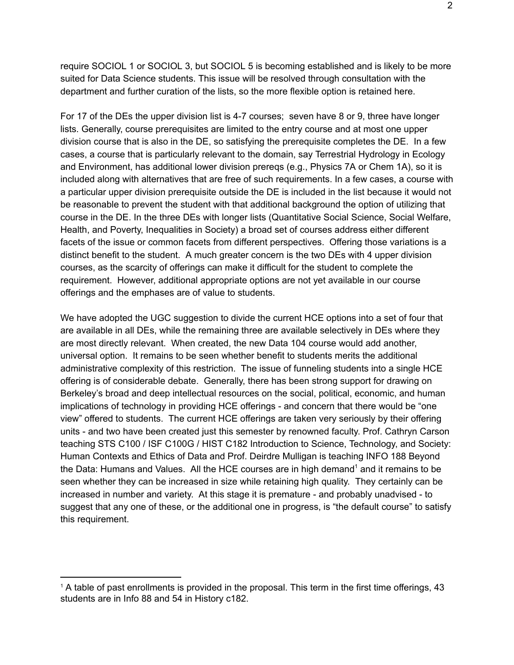require SOCIOL 1 or SOCIOL 3, but SOCIOL 5 is becoming established and is likely to be more suited for Data Science students. This issue will be resolved through consultation with the department and further curation of the lists, so the more flexible option is retained here.

For 17 of the DEs the upper division list is 47 courses; seven have 8 or 9, three have longer lists. Generally, course prerequisites are limited to the entry course and at most one upper division course that is also in the DE, so satisfying the prerequisite completes the DE. In a few cases, a course that is particularly relevant to the domain, say Terrestrial Hydrology in Ecology and Environment, has additional lower division prereqs (e.g., Physics 7A or Chem 1A), so it is included along with alternatives that are free of such requirements. In a few cases, a course with a particular upper division prerequisite outside the DE is included in the list because it would not be reasonable to prevent the student with that additional background the option of utilizing that course in the DE. In the three DEs with longer lists (Quantitative Social Science, Social Welfare, Health, and Poverty, Inequalities in Society) a broad set of courses address either different facets of the issue or common facets from different perspectives. Offering those variations is a distinct benefit to the student. A much greater concern is the two DEs with 4 upper division courses, as the scarcity of offerings can make it difficult for the student to complete the requirement. However, additional appropriate options are not yet available in our course offerings and the emphases are of value to students.

We have adopted the UGC suggestion to divide the current HCE options into a set of four that are available in all DEs, while the remaining three are available selectively in DEs where they are most directly relevant. When created, the new Data 104 course would add another, universal option. It remains to be seen whether benefit to students merits the additional administrative complexity of this restriction. The issue of funneling students into a single HCE offering is of considerable debate. Generally, there has been strong support for drawing on Berkeley's broad and deep intellectual resources on the social, political, economic, and human implications of technology in providing HCE offerings - and concern that there would be "one view" offered to students. The current HCE offerings are taken very seriously by their offering units - and two have been created just this semester by renowned faculty. Prof. Cathryn Carson teaching STS C100 / ISF C100G / HIST C182 Introduction to Science, Technology, and Society: Human Contexts and Ethics of Data and Prof. Deirdre Mulligan is teaching INFO 188 Beyond the Data: Humans and Values. All the HCE courses are in high demand<sup>1</sup> and it remains to be seen whether they can be increased in size while retaining high quality. They certainly can be increased in number and variety. At this stage it is premature - and probably unadvised - to suggest that any one of these, or the additional one in progress, is "the default course" to satisfy this requirement.

<sup>1</sup> A table of past enrollments is provided in the proposal. This term in the first time offerings, 43 students are in Info 88 and 54 in History c182.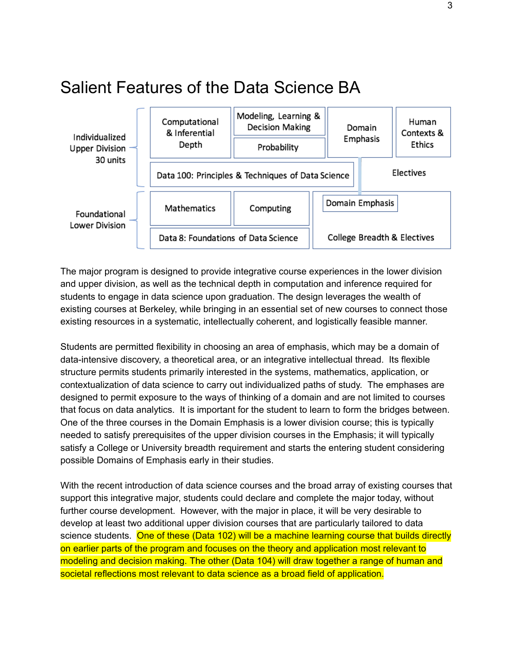# <span id="page-9-0"></span>Salient Features of the Data Science BA



The major program is designed to provide integrative course experiences in the lower division and upper division, as well as the technical depth in computation and inference required for students to engage in data science upon graduation. The design leverages the wealth of existing courses at Berkeley, while bringing in an essential set of new courses to connect those existing resources in a systematic, intellectually coherent, and logistically feasible manner.

Students are permitted flexibility in choosing an area of emphasis, which may be a domain of data-intensive discovery, a theoretical area, or an integrative intellectual thread. Its flexible structure permits students primarily interested in the systems, mathematics, application, or contextualization of data science to carry out individualized paths of study. The emphases are designed to permit exposure to the ways of thinking of a domain and are not limited to courses that focus on data analytics. It is important for the student to learn to form the bridges between. One of the three courses in the Domain Emphasis is a lower division course; this is typically needed to satisfy prerequisites of the upper division courses in the Emphasis; it will typically satisfy a College or University breadth requirement and starts the entering student considering possible Domains of Emphasis early in their studies.

With the recent introduction of data science courses and the broad array of existing courses that support this integrative major, students could declare and complete the major today, without further course development. However, with the major in place, it will be very desirable to develop at least two additional upper division courses that are particularly tailored to data science students. One of these (Data 102) will be a machine learning course that builds directly on earlier parts of the program and focuses on the theory and application most relevant to modeling and decision making. The other (Data 104) will draw together a range of human and societal reflections most relevant to data science as a broad field of application.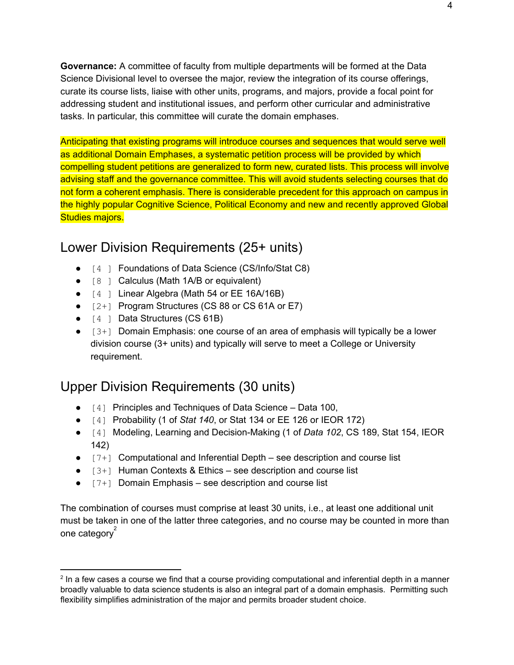**Governance:** A committee of faculty from multiple departments will be formed at the Data Science Divisional level to oversee the major, review the integration of its course offerings, curate its course lists, liaise with other units, programs, and majors, provide a focal point for addressing student and institutional issues, and perform other curricular and administrative tasks. In particular, this committee will curate the domain emphases.

Anticipating that existing programs will introduce courses and sequences that would serve well as additional Domain Emphases, a systematic petition process will be provided by which compelling student petitions are generalized to form new, curated lists. This process will involve advising staff and the governance committee. This will avoid students selecting courses that do not form a coherent emphasis. There is considerable precedent for this approach on campus in the highly popular Cognitive Science, Political Economy and new and recently approved Global Studies majors.

# <span id="page-10-0"></span>Lower Division Requirements (25+ units)

- [4] Foundations of Data Science (CS/Info/Stat C8)
- $\bullet$  [8 ] Calculus (Math 1A/B or equivalent)
- $\bullet$  [4] Linear Algebra (Math 54 or EE 16A/16B)
- $\bullet$  [2+] Program Structures (CS 88 or CS 61A or E7)
- [4] Data Structures (CS 61B)
- $\bullet$  [3+] Domain Emphasis: one course of an area of emphasis will typically be a lower division course (3+ units) and typically will serve to meet a College or University requirement.

# <span id="page-10-1"></span>Upper Division Requirements (30 units)

- [4] Principles and Techniques of Data Science Data 100,
- [4] Probability (1 of *Stat 140*, or Stat 134 or EE 126 or IEOR 172)
- [4] Modeling, Learning and Decision-Making (1 of *Data 102*, CS 189, Stat 154, IEOR 142)
- $\bullet$   $[7+]$  Computational and Inferential Depth see description and course list
- $\bullet$  [3+] Human Contexts & Ethics see description and course list
- $\bullet$  [7+] Domain Emphasis see description and course list

The combination of courses must comprise at least 30 units, i.e., at least one additional unit must be taken in one of the latter three categories, and no course may be counted in more than one category<sup>2</sup>

 $^2$  In a few cases a course we find that a course providing computational and inferential depth in a manner broadly valuable to data science students is also an integral part of a domain emphasis. Permitting such flexibility simplifies administration of the major and permits broader student choice.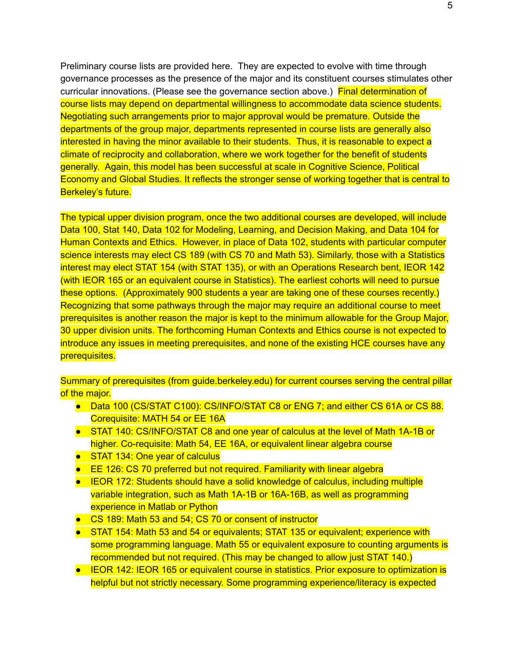Preliminary course lists are provided here. They are expected to evolve with time through governance processes as the presence of the major and its constituent courses stimulates other curricular innovations. (Please see the governance section above.) Final determination of course lists may depend on departmental willingness to accommodate data science students. Negotiating such arrangements prior to major approval would be premature. Outside the departments of the group major, departments represented in course lists are generally also interested in having the minor available to their students. Thus, it is reasonable to expect a climate of reciprocity and collaboration, where we work together for the benefit of students generally. Again, this model has been successful at scale in Cognitive Science, Political Economy and Global Studies. It reflects the stronger sense of working together that is central to Berkeley's future.

The typical upper division program, once the two additional courses are developed, will include Data 100, Stat 140, Data 102 for Modeling, Learning, and Decision Making, and Data 104 for Human Contexts and Ethics. However, in place of Data 102, students with particular computer science interests may elect CS 189 (with CS 70 and Math 53). Similarly, those with a Statistics interest may elect STAT 154 (with STAT 135), or with an Operations Research bent, IEOR 142 (with IEOR 165 or an equivalent course in Statistics). The earliest cohorts will need to pursue these options. (Approximately 900 students a year are taking one of these courses recently.) Recognizing that some pathways through the major may require an additional course to meet prerequisites is another reason the major is kept to the minimum allowable for the Group Major, 30 upper division units. The forthcoming Human Contexts and Ethics course is not expected to introduce any issues in meeting prerequisites, and none of the existing HCE courses have any prerequisites.

Summary of prerequisites (from guide.berkeley.edu) for current courses serving the central pillar of the major.

- Data 100 (CS/STAT C100): CS/INFO/STAT C8 or ENG 7; and either CS 61A or CS 88. Corequisite: MATH 54 or EE 16A
- STAT 140: CS/INFO/STAT C8 and one year of calculus at the level of Math 1A-1B or higher. Co-requisite: Math 54, EE 16A, or equivalent linear algebra course
- STAT 134: One year of calculus
- EE 126: CS 70 preferred but not required. Familiarity with linear algebra
- IEOR 172: Students should have a solid knowledge of calculus, including multiple variable integration, such as Math 1A-1B or 16A-16B, as well as programming experience in Matlab or Python
- CS 189: Math 53 and 54; CS 70 or consent of instructor
- STAT 154: Math 53 and 54 or equivalents; STAT 135 or equivalent; experience with some programming language. Math 55 or equivalent exposure to counting arguments is recommended but not required. (This may be changed to allow just STAT 140.)
- IEOR 142: IEOR 165 or equivalent course in statistics. Prior exposure to optimization is helpful but not strictly necessary. Some programming experience/literacy is expected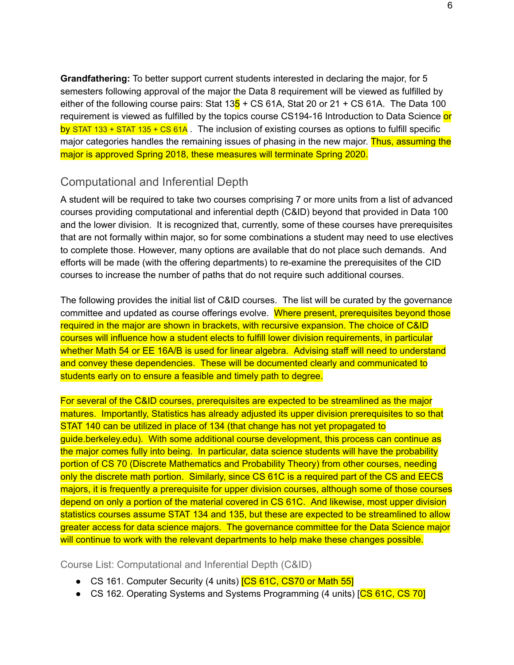**Grandfathering:** To better support current students interested in declaring the major, for 5 semesters following approval of the major the Data 8 requirement will be viewed as fulfilled by either of the following course pairs: Stat  $13\frac{1}{5}$  + CS 61A, Stat 20 or 21 + CS 61A. The Data 100 requirement is viewed as fulfilled by the topics course CS194-16 Introduction to Data Science or by STAT 133 + STAT 135 + CS 61A. The inclusion of existing courses as options to fulfill specific major categories handles the remaining issues of phasing in the new major. Thus, assuming the major is approved Spring 2018, these measures will terminate Spring 2020.

#### <span id="page-12-0"></span>Computational and Inferential Depth

A student will be required to take two courses comprising 7 or more units from a list of advanced courses providing computational and inferential depth (C&ID) beyond that provided in Data 100 and the lower division. It is recognized that, currently, some of these courses have prerequisites that are not formally within major, so for some combinations a student may need to use electives to complete those. However, many options are available that do not place such demands. And efforts will be made (with the offering departments) to re-examine the prerequisites of the CID courses to increase the number of paths that do not require such additional courses.

The following provides the initial list of C&ID courses. The list will be curated by the governance committee and updated as course offerings evolve. Where present, prerequisites beyond those required in the major are shown in brackets, with recursive expansion. The choice of C&ID courses will influence how a student elects to fulfill lower division requirements, in particular whether Math 54 or EE 16A/B is used for linear algebra. Advising staff will need to understand and convey these dependencies. These will be documented clearly and communicated to students early on to ensure a feasible and timely path to degree.

For several of the C&ID courses, prerequisites are expected to be streamlined as the major matures. Importantly, Statistics has already adjusted its upper division prerequisites to so that STAT 140 can be utilized in place of 134 (that change has not yet propagated to guide.berkeley.edu). With some additional course development, this process can continue as the major comes fully into being. In particular, data science students will have the probability portion of CS 70 (Discrete Mathematics and Probability Theory) from other courses, needing only the discrete math portion. Similarly, since CS 61C is a required part of the CS and EECS majors, it is frequently a prerequisite for upper division courses, although some of those courses depend on only a portion of the material covered in CS 61C. And likewise, most upper division statistics courses assume STAT 134 and 135, but these are expected to be streamlined to allow greater access for data science majors. The governance committee for the Data Science major will continue to work with the relevant departments to help make these changes possible.

<span id="page-12-1"></span>Course List: Computational and Inferential Depth (C&ID)

- CS 161. Computer Security (4 units) **[CS 61C, CS70 or Math 55]**
- CS 162. Operating Systems and Systems Programming (4 units) [CS 61C, CS 70]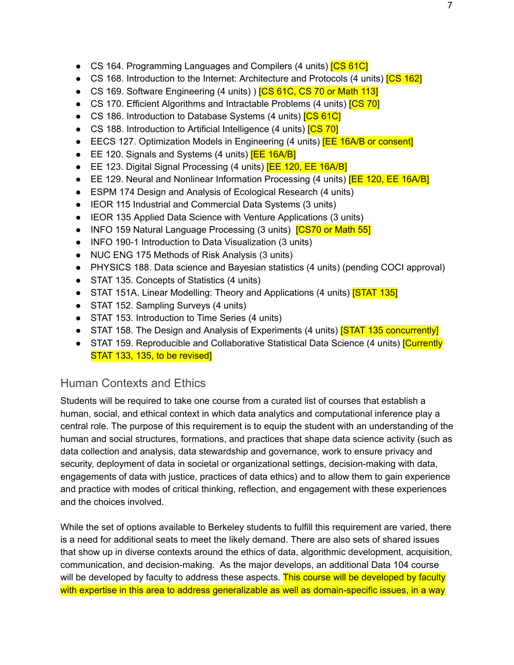- CS 164. Programming Languages and Compilers (4 units) **[CS 61C]**
- CS 168. Introduction to the Internet: Architecture and Protocols (4 units) **[CS 162]**
- CS 169. Software Engineering (4 units) ) **[CS 61C, CS 70 or Math 113]**
- CS 170. Efficient Algorithms and Intractable Problems (4 units) **[CS 70]**
- CS 186. Introduction to Database Systems (4 units) **[CS 61C]**
- CS 188. Introduction to Artificial Intelligence (4 units) [CS 70]
- EECS 127. Optimization Models in Engineering (4 units) **[EE 16A/B or consent]**
- EE 120. Signals and Systems (4 units) **[EE 16A/B]**
- EE 123. Digital Signal Processing (4 units) **[EE 120, EE 16A/B]**
- EE 129. Neural and Nonlinear Information Processing (4 units) **[EE 120, EE 16A/B]**
- ESPM 174 Design and Analysis of Ecological Research (4 units)
- IEOR 115 Industrial and Commercial Data Systems (3 units)
- IEOR 135 Applied Data Science with Venture Applications (3 units)
- INFO 159 Natural Language Processing (3 units) **[CS70 or Math 55]**
- INFO 190-1 Introduction to Data Visualization (3 units)
- NUC ENG 175 Methods of Risk Analysis (3 units)
- PHYSICS 188. Data science and Bayesian statistics (4 units) (pending COCI approval)
- STAT 135. Concepts of Statistics (4 units)
- STAT 151A. Linear Modelling: Theory and Applications (4 units) **[STAT 135]**
- STAT 152. Sampling Surveys (4 units)
- STAT 153. Introduction to Time Series (4 units)
- STAT 158. The Design and Analysis of Experiments (4 units) **STAT 135 concurrently**
- STAT 159. Reproducible and Collaborative Statistical Data Science (4 units) **[Currently** STAT 133, 135, to be revised]

# <span id="page-13-0"></span>Human Contexts and Ethics

Students will be required to take one course from a curated list of courses that establish a human, social, and ethical context in which data analytics and computational inference play a central role. The purpose of this requirement is to equip the student with an understanding of the human and social structures, formations, and practices that shape data science activity (such as data collection and analysis, data stewardship and governance, work to ensure privacy and security, deployment of data in societal or organizational settings, decision-making with data, engagements of data with justice, practices of data ethics) and to allow them to gain experience and practice with modes of critical thinking, reflection, and engagement with these experiences and the choices involved.

While the set of options available to Berkeley students to fulfill this requirement are varied, there is a need for additional seats to meet the likely demand. There are also sets of shared issues that show up in diverse contexts around the ethics of data, algorithmic development, acquisition, communication, and decision-making. As the major develops, an additional Data 104 course will be developed by faculty to address these aspects. This course will be developed by faculty with expertise in this area to address generalizable as well as domain-specific issues, in a way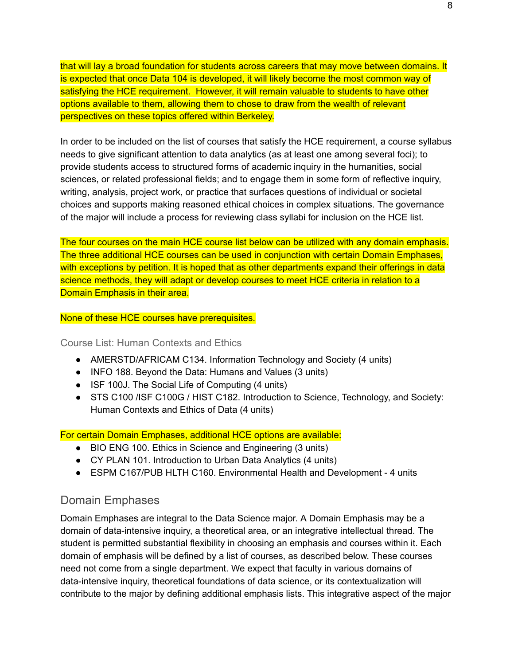that will lay a broad foundation for students across careers that may move between domains. It is expected that once Data 104 is developed, it will likely become the most common way of satisfying the HCE requirement. However, it will remain valuable to students to have other options available to them, allowing them to chose to draw from the wealth of relevant perspectives on these topics offered within Berkeley.

In order to be included on the list of courses that satisfy the HCE requirement, a course syllabus needs to give significant attention to data analytics (as at least one among several foci); to provide students access to structured forms of academic inquiry in the humanities, social sciences, or related professional fields; and to engage them in some form of reflective inquiry, writing, analysis, project work, or practice that surfaces questions of individual or societal choices and supports making reasoned ethical choices in complex situations. The governance of the major will include a process for reviewing class syllabi for inclusion on the HCE list.

The four courses on the main HCE course list below can be utilized with any domain emphasis. The three additional HCE courses can be used in conjunction with certain Domain Emphases, with exceptions by petition. It is hoped that as other departments expand their offerings in data science methods, they will adapt or develop courses to meet HCE criteria in relation to a Domain Emphasis in their area.

#### <span id="page-14-0"></span>None of these HCE courses have prerequisites.

#### Course List: Human Contexts and Ethics

- AMERSTD/AFRICAM C134. Information Technology and Society (4 units)
- INFO 188. Beyond the Data: Humans and Values (3 units)
- ISF 100J. The Social Life of Computing (4 units)
- STS C100 /ISF C100G / HIST C182. Introduction to Science, Technology, and Society: Human Contexts and Ethics of Data (4 units)

For certain Domain Emphases, additional HCE options are available:

- BIO ENG 100. Ethics in Science and Engineering (3 units)
- CY PLAN 101. Introduction to Urban Data Analytics (4 units)
- ESPM C167/PUB HLTH C160. Environmental Health and Development 4 units

#### <span id="page-14-1"></span>Domain Emphases

Domain Emphases are integral to the Data Science major. A Domain Emphasis may be a domain of data-intensive inquiry, a theoretical area, or an integrative intellectual thread. The student is permitted substantial flexibility in choosing an emphasis and courses within it. Each domain of emphasis will be defined by a list of courses, as described below. These courses need not come from a single department. We expect that faculty in various domains of data-intensive inquiry, theoretical foundations of data science, or its contextualization will contribute to the major by defining additional emphasis lists. This integrative aspect of the major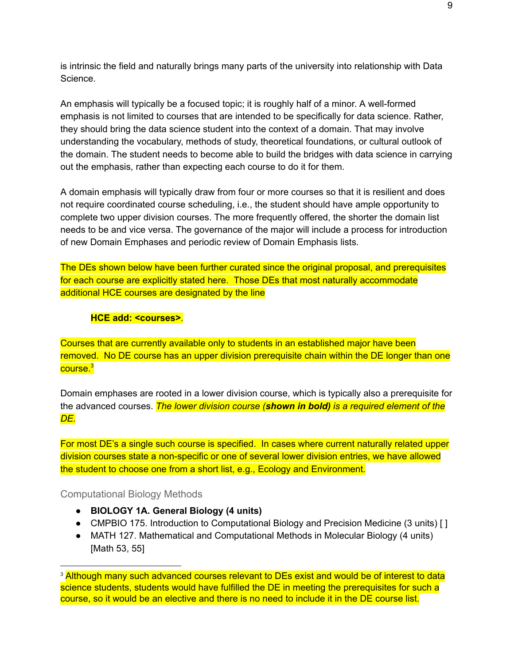is intrinsic the field and naturally brings many parts of the university into relationship with Data Science.

An emphasis will typically be a focused topic; it is roughly half of a minor. A well-formed emphasis is not limited to courses that are intended to be specifically for data science. Rather, they should bring the data science student into the context of a domain. That may involve understanding the vocabulary, methods of study, theoretical foundations, or cultural outlook of the domain. The student needs to become able to build the bridges with data science in carrying out the emphasis, rather than expecting each course to do it for them.

A domain emphasis will typically draw from four or more courses so that it is resilient and does not require coordinated course scheduling, i.e., the student should have ample opportunity to complete two upper division courses. The more frequently offered, the shorter the domain list needs to be and vice versa. The governance of the major will include a process for introduction of new Domain Emphases and periodic review of Domain Emphasis lists.

The DEs shown below have been further curated since the original proposal, and prerequisites for each course are explicitly stated here. Those DEs that most naturally accommodate additional HCE courses are designated by the line

#### **HCE add: <courses>**.

Courses that are currently available only to students in an established major have been removed. No DE course has an upper division prerequisite chain within the DE longer than one course. 3

Domain emphases are rooted in a lower division course, which is typically also a prerequisite for the advanced courses. *The lower division course (shown in bold) is a required element of the DE.*

For most DE's a single such course is specified. In cases where current naturally related upper division courses state a non-specific or one of several lower division entries, we have allowed the student to choose one from a short list, e.g., Ecology and Environment.

#### <span id="page-15-0"></span>Computational Biology Methods

- **● BIOLOGY 1A. General Biology (4 units)**
- CMPBIO 175. Introduction to Computational Biology and Precision Medicine (3 units) []
- MATH 127. Mathematical and Computational Methods in Molecular Biology (4 units) [Math 53, 55]

<sup>&</sup>lt;sup>3</sup> Although many such advanced courses relevant to DEs exist and would be of interest to data science students, students would have fulfilled the DE in meeting the prerequisites for such a course, so it would be an elective and there is no need to include it in the DE course list.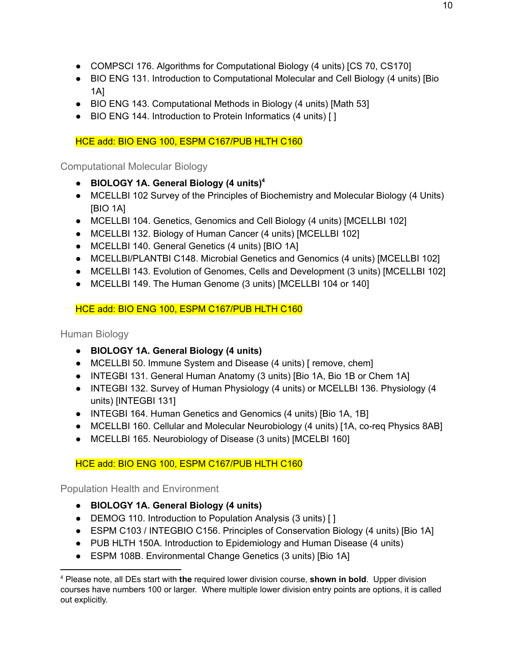- COMPSCI 176. Algorithms for Computational Biology (4 units) [CS 70, CS170]
- BIO ENG 131. Introduction to Computational Molecular and Cell Biology (4 units) [Bio 1A]
- BIO ENG 143. Computational Methods in Biology (4 units) [Math 53]
- BIO ENG 144. Introduction to Protein Informatics (4 units) [ ]

HCE add: BIO ENG 100, ESPM C167/PUB HLTH C160

<span id="page-16-0"></span>Computational Molecular Biology

- **● BIOLOGY 1A. General Biology (4 units) 4**
- MCELLBI 102 Survey of the Principles of Biochemistry and Molecular Biology (4 Units) [BIO 1A]
- MCELLBI 104. Genetics, Genomics and Cell Biology (4 units) [MCELLBI 102]
- MCELLBI 132. Biology of Human Cancer (4 units) [MCELLBI 102]
- MCELLBI 140. General Genetics (4 units) [BIO 1A]
- MCELLBI/PLANTBI C148. Microbial Genetics and Genomics (4 units) [MCELLBI 102]
- MCELLBI 143. Evolution of Genomes, Cells and Development (3 units) [MCELLBI 102]
- MCELLBI 149. The Human Genome (3 units) [MCELLBI 104 or 140]

HCE add: BIO ENG 100, ESPM C167/PUB HLTH C160

<span id="page-16-1"></span>Human Biology

- **● BIOLOGY 1A. General Biology (4 units)**
- MCELLBI 50. Immune System and Disease (4 units) [remove, chem]
- INTEGBI 131. General Human Anatomy (3 units) [Bio 1A, Bio 1B or Chem 1A]
- INTEGBI 132. Survey of Human Physiology (4 units) or MCELLBI 136. Physiology (4 units) [INTEGBI 131]
- INTEGBI 164. Human Genetics and Genomics (4 units) [Bio 1A, 1B]
- MCELLBI 160. Cellular and Molecular Neurobiology (4 units) [1A, co-req Physics 8AB]
- MCELLBI 165. Neurobiology of Disease (3 units) [MCELBI 160]

## HCE add: BIO ENG 100, ESPM C167/PUB HLTH C160

<span id="page-16-2"></span>Population Health and Environment

- **● BIOLOGY 1A. General Biology (4 units)**
- DEMOG 110. Introduction to Population Analysis (3 units) [ ]
- ESPM C103 / INTEGBIO C156. Principles of Conservation Biology (4 units) [Bio 1A]
- PUB HLTH 150A. Introduction to Epidemiology and Human Disease (4 units)
- ESPM 108B. Environmental Change Genetics (3 units) [Bio 1A]

<sup>4</sup> Please note, all DEs start with **the** required lower division course, **shown in bold**. Upper division courses have numbers 100 or larger. Where multiple lower division entry points are options, it is called out explicitly.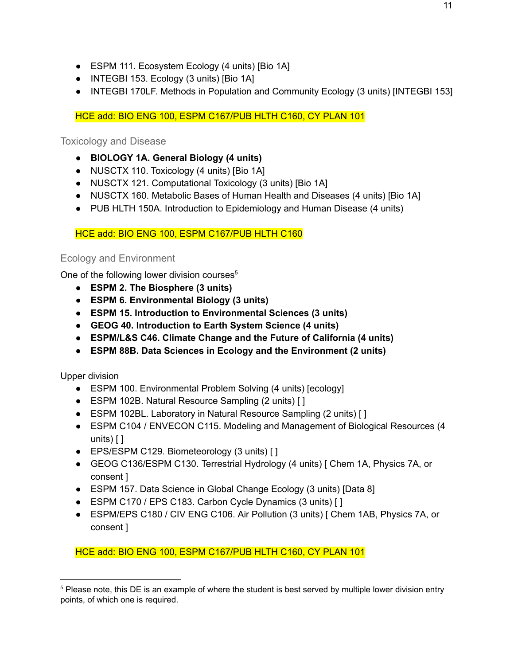- ESPM 111. Ecosystem Ecology (4 units) [Bio 1A]
- INTEGBI 153. Ecology (3 units) [Bio 1A]
- INTEGBI 170LF. Methods in Population and Community Ecology (3 units) [INTEGBI 153]

HCE add: BIO ENG 100, ESPM C167/PUB HLTH C160, CY PLAN 101

<span id="page-17-0"></span>Toxicology and Disease

- **BIOLOGY 1A. General Biology (4 units)**
- NUSCTX 110. Toxicology (4 units) [Bio 1A]
- NUSCTX 121. Computational Toxicology (3 units) [Bio 1A]
- NUSCTX 160. Metabolic Bases of Human Health and Diseases (4 units) [Bio 1A]
- PUB HLTH 150A. Introduction to Epidemiology and Human Disease (4 units)

#### HCE add: BIO ENG 100, ESPM C167/PUB HLTH C160

#### <span id="page-17-1"></span>Ecology and Environment

One of the following lower division courses<sup>5</sup>

- **● ESPM 2. The Biosphere (3 units)**
- **● ESPM 6. Environmental Biology (3 units)**
- **● ESPM 15. Introduction to Environmental Sciences (3 units)**
- **● GEOG 40. Introduction to Earth System Science (4 units)**
- **● ESPM/L&S C46. Climate Change and the Future of California (4 units)**
- **● ESPM 88B. Data Sciences in Ecology and the Environment (2 units)**

Upper division

- ESPM 100. Environmental Problem Solving (4 units) [ecology]
- ESPM 102B. Natural Resource Sampling (2 units) [ ]
- ESPM 102BL. Laboratory in Natural Resource Sampling (2 units) [ ]
- ESPM C104 / ENVECON C115. Modeling and Management of Biological Resources (4 units) [ ]
- EPS/ESPM C129. Biometeorology (3 units) [ ]
- GEOG C136/ESPM C130. Terrestrial Hydrology (4 units) [ Chem 1A, Physics 7A, or consent ]
- ESPM 157. Data Science in Global Change Ecology (3 units) [Data 8]
- ESPM C170 / EPS C183. Carbon Cycle Dynamics (3 units) [ ]
- ESPM/EPS C180 / CIV ENG C106. Air Pollution (3 units) [ Chem 1AB, Physics 7A, or consent ]

HCE add: BIO ENG 100, ESPM C167/PUB HLTH C160, CY PLAN 101

<sup>&</sup>lt;sup>5</sup> Please note, this DE is an example of where the student is best served by multiple lower division entry points, of which one is required.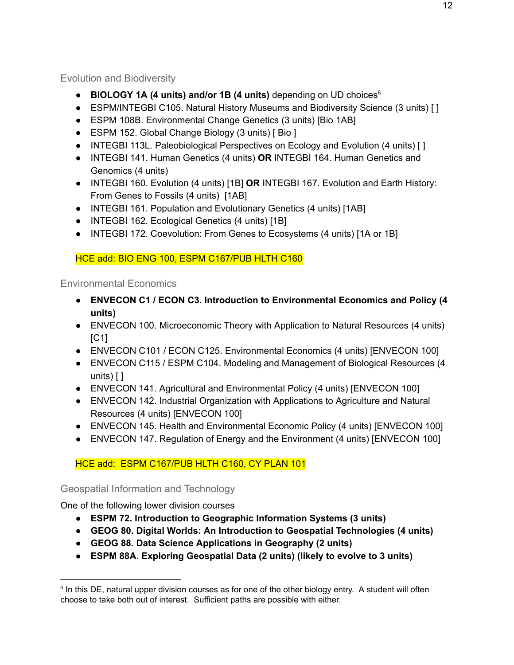<span id="page-18-0"></span>Evolution and Biodiversity

- **BIOLOGY 1A (4 units) and/or 1B (4 units)** depending on UD choices 6
- ESPM/INTEGBI C105. Natural History Museums and Biodiversity Science (3 units) [ ]
- ESPM 108B. Environmental Change Genetics (3 units) [Bio 1AB]
- ESPM 152. Global Change Biology (3 units) [ Bio ]
- INTEGBI 113L. Paleobiological Perspectives on Ecology and Evolution (4 units) [ ]
- INTEGBI 141. Human Genetics (4 units) **OR** INTEGBI 164. Human Genetics and Genomics (4 units)
- INTEGBI 160. Evolution (4 units) [1B] **OR** INTEGBI 167. Evolution and Earth History: From Genes to Fossils (4 units) [1AB]
- INTEGBI 161. Population and Evolutionary Genetics (4 units) [1AB]
- INTEGBI 162. Ecological Genetics (4 units) [1B]
- INTEGBI 172. Coevolution: From Genes to Ecosystems (4 units) [1A or 1B]

## HCE add: BIO ENG 100, ESPM C167/PUB HLTH C160

## <span id="page-18-1"></span>Environmental Economics

- **● ENVECON C1 / ECON C3. Introduction to Environmental Economics and Policy (4 units)**
- ENVECON 100. Microeconomic Theory with Application to Natural Resources (4 units)  $IC11$
- ENVECON C101 / ECON C125. Environmental Economics (4 units) [ENVECON 100]
- ENVECON C115 / ESPM C104. Modeling and Management of Biological Resources (4 units) [ ]
- ENVECON 141. Agricultural and Environmental Policy (4 units) [ENVECON 100]
- ENVECON 142. Industrial Organization with Applications to Agriculture and Natural Resources (4 units) [ENVECON 100]
- ENVECON 145. Health and Environmental Economic Policy (4 units) [ENVECON 100]
- ENVECON 147. Regulation of Energy and the Environment (4 units) [ENVECON 100]

## HCE add: ESPM C167/PUB HLTH C160, CY PLAN 101

#### <span id="page-18-2"></span>Geospatial Information and Technology

One of the following lower division courses

- **● ESPM 72. Introduction to Geographic Information Systems (3 units)**
- **● GEOG 80. Digital Worlds: An Introduction to Geospatial Technologies (4 units)**
- **● GEOG 88. Data Science Applications in Geography (2 units)**
- **● ESPM 88A. Exploring Geospatial Data (2 units) (likely to evolve to 3 units)**

<sup>&</sup>lt;sup>6</sup> In this DE, natural upper division courses as for one of the other biology entry. A student will often choose to take both out of interest. Sufficient paths are possible with either.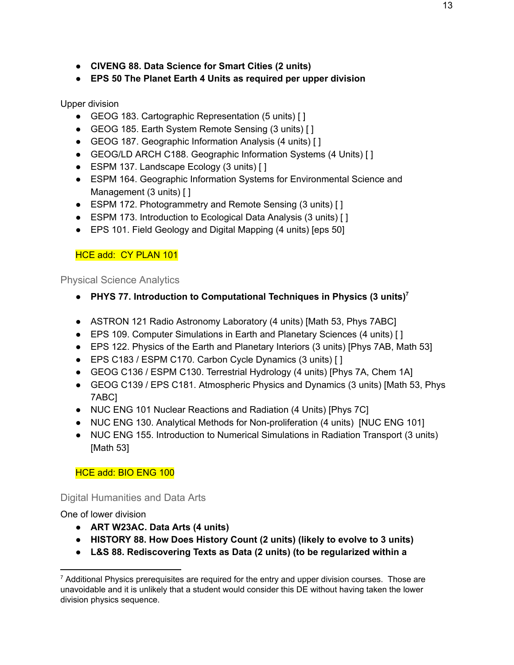- **● CIVENG 88. Data Science for Smart Cities (2 units)**
- **● EPS 50 The Planet Earth 4 Units as required per upper division**

#### Upper division

- GEOG 183. Cartographic Representation (5 units) [ ]
- GEOG 185. Earth System Remote Sensing (3 units) [ ]
- GEOG 187. Geographic Information Analysis (4 units) [ ]
- GEOG/LD ARCH C188. Geographic Information Systems (4 Units) [ ]
- ESPM 137. Landscape Ecology (3 units) [ ]
- ESPM 164. Geographic Information Systems for Environmental Science and Management (3 units) [ ]
- ESPM 172. Photogrammetry and Remote Sensing (3 units) [ ]
- ESPM 173. Introduction to Ecological Data Analysis (3 units) [ ]
- EPS 101. Field Geology and Digital Mapping (4 units) [eps 50]

#### HCE add: CY PLAN 101

<span id="page-19-0"></span>Physical Science Analytics

- **● PHYS 77. Introduction to Computational Techniques in Physics (3 units) 7**
- ASTRON 121 Radio Astronomy Laboratory (4 units) [Math 53, Phys 7ABC]
- EPS 109. Computer Simulations in Earth and Planetary Sciences (4 units) [ ]
- EPS 122. Physics of the Earth and Planetary Interiors (3 units) [Phys 7AB, Math 53]
- EPS C183 / ESPM C170. Carbon Cycle Dynamics (3 units) [ ]
- GEOG C136 / ESPM C130. Terrestrial Hydrology (4 units) [Phys 7A, Chem 1A]
- GEOG C139 / EPS C181. Atmospheric Physics and Dynamics (3 units) [Math 53, Phys 7ABC]
- NUC ENG 101 Nuclear Reactions and Radiation (4 Units) [Phys 7C]
- NUC ENG 130. Analytical Methods for Non-proliferation (4 units) [NUC ENG 101]
- NUC ENG 155. Introduction to Numerical Simulations in Radiation Transport (3 units) [Math 53]

#### HCE add: BIO ENG 100

<span id="page-19-1"></span>Digital Humanities and Data Arts

One of lower division

- **● ART W23AC. Data Arts (4 units)**
- **● HISTORY 88. How Does History Count (2 units) (likely to evolve to 3 units)**
- **● L&S 88. Rediscovering Texts as Data (2 units) (to be regularized within a**

 $7$  Additional Physics prerequisites are required for the entry and upper division courses. Those are unavoidable and it is unlikely that a student would consider this DE without having taken the lower division physics sequence.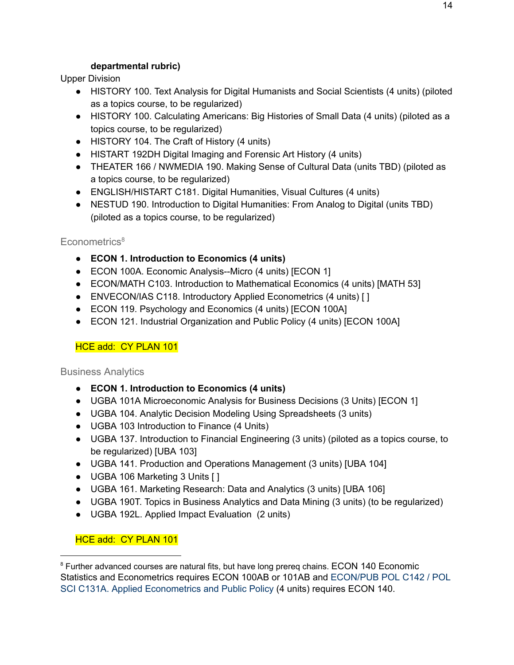#### **departmental rubric)**

Upper Division

- HISTORY 100. Text Analysis for Digital Humanists and Social Scientists (4 units) (piloted as a topics course, to be regularized)
- HISTORY 100. Calculating Americans: Big Histories of Small Data (4 units) (piloted as a topics course, to be regularized)
- HISTORY 104. The Craft of History (4 units)
- HISTART 192DH Digital Imaging and Forensic Art History (4 units)
- THEATER 166 / NWMEDIA 190. Making Sense of Cultural Data (units TBD) (piloted as a topics course, to be regularized)
- ENGLISH/HISTART C181. Digital Humanities, Visual Cultures (4 units)
- NESTUD 190. Introduction to Digital Humanities: From Analog to Digital (units TBD) (piloted as a topics course, to be regularized)

#### <span id="page-20-0"></span>Econometrics<sup>8</sup>

- **● ECON 1. Introduction to Economics (4 units)**
- ECON 100A. Economic Analysis--Micro (4 units) [ECON 1]
- ECON/MATH C103. Introduction to Mathematical Economics (4 units) [MATH 53]
- ENVECON/IAS C118. Introductory Applied Econometrics (4 units) [ ]
- ECON 119. Psychology and Economics (4 units) [ECON 100A]
- ECON 121. Industrial Organization and Public Policy (4 units) [ECON 100A]

#### HCE add: CY PLAN 101

#### <span id="page-20-1"></span>Business Analytics

- **● ECON 1. Introduction to Economics (4 units)**
- UGBA 101A Microeconomic Analysis for Business Decisions (3 Units) [ECON 1]
- UGBA 104. Analytic Decision Modeling Using Spreadsheets (3 units)
- UGBA 103 Introduction to Finance (4 Units)
- UGBA 137. Introduction to Financial Engineering (3 units) (piloted as a topics course, to be regularized) [UBA 103]
- UGBA 141. Production and Operations Management (3 units) [UBA 104]
- UGBA 106 Marketing 3 Units [ ]
- UGBA 161. Marketing Research: Data and Analytics (3 units) [UBA 106]
- UGBA 190T. Topics in Business Analytics and Data Mining (3 units) (to be regularized)
- UGBA 192L. Applied Impact Evaluation (2 units)

#### HCE add: CY PLAN 101

<sup>&</sup>lt;sup>8</sup> Further advanced courses are natural fits, but have long prereg chains. ECON 140 Economic Statistics and Econometrics requires ECON 100AB or 101AB and ECON/PUB POL C142 / POL SCI C131A. Applied Econometrics and Public Policy [\(4](http://bcourses.berkeley.edu/) [un](http://bcourses.berkeley.edu/)i[ts](http://bcourses.berkeley.edu/)) requires ECON 140.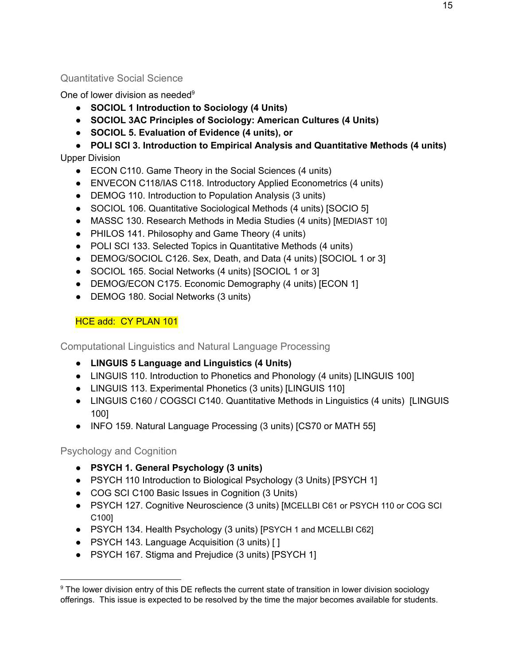### <span id="page-21-0"></span>Quantitative Social Science

One of lower division as needed<sup>9</sup>

- **● SOCIOL 1 Introduction to Sociology (4 Units)**
- **● SOCIOL 3AC Principles of Sociology: American Cultures (4 Units)**
- **● SOCIOL 5. Evaluation of Evidence (4 units), or**

**● POLI SCI 3. Introduction to Empirical Analysis and Quantitative Methods (4 units)** Upper Division

- ECON C110. Game Theory in the Social Sciences (4 units)
- ENVECON C118/IAS C118. Introductory Applied Econometrics (4 units)
- DEMOG 110. Introduction to Population Analysis (3 units)
- SOCIOL 106. Quantitative Sociological Methods (4 units) [SOCIO 5]
- MASSC 130. Research Methods in Media Studies (4 units) [MEDIAST 10]
- PHILOS 141. Philosophy and Game Theory (4 units)
- POLI SCI 133. Selected Topics in Quantitative Methods (4 units)
- DEMOG/SOCIOL C126. Sex, Death, and Data (4 units) [SOCIOL 1 or 3]
- SOCIOL 165. Social Networks (4 units) [SOCIOL 1 or 3]
- DEMOG/ECON C175. Economic Demography (4 units) [ECON 1]
- DEMOG 180. Social Networks (3 units)

#### HCE add: CY PLAN 101

<span id="page-21-1"></span>Computational Linguistics and Natural Language Processing

- **● LINGUIS 5 Language and Linguistics (4 Units)**
- LINGUIS 110. Introduction to Phonetics and Phonology (4 units) [LINGUIS 100]
- LINGUIS 113. Experimental Phonetics (3 units) [LINGUIS 110]
- LINGUIS C160 / COGSCI C140. Quantitative Methods in Linguistics (4 units) [LINGUIS 100]
- INFO 159. Natural Language Processing (3 units) [CS70 or MATH 55]

#### <span id="page-21-2"></span>Psychology and Cognition

- **● PSYCH 1. General Psychology (3 units)**
- PSYCH 110 Introduction to Biological Psychology (3 Units) [PSYCH 1]
- COG SCI C100 Basic Issues in Cognition (3 Units)
- PSYCH 127. Cognitive Neuroscience (3 units) [MCELLBI C61 or PSYCH 110 or COG SCI C100]
- PSYCH 134. Health Psychology (3 units) [PSYCH 1 and MCELLBI C62]
- PSYCH 143. Language Acquisition (3 units) [ ]
- PSYCH 167. Stigma and Prejudice (3 units) [PSYCH 1]

<sup>&</sup>lt;sup>9</sup> The lower division entry of this DE reflects the current state of transition in lower division sociology offerings. This issue is expected to be resolved by the time the major becomes available for students.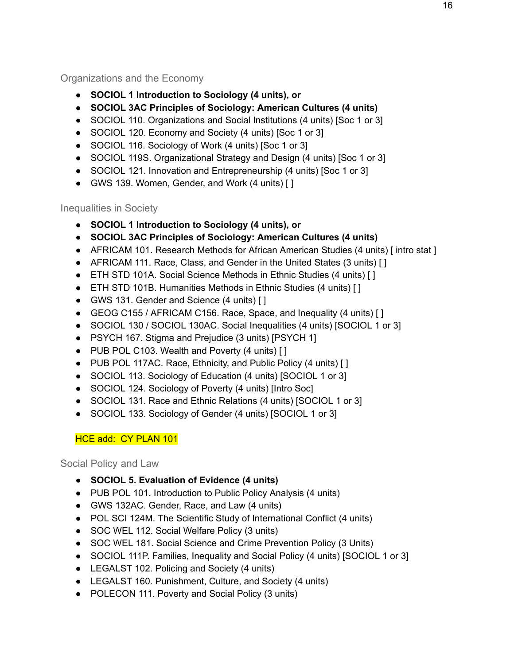#### <span id="page-22-0"></span>Organizations and the Economy

- **● SOCIOL 1 Introduction to Sociology (4 units), or**
- **● SOCIOL 3AC Principles of Sociology: American Cultures (4 units)**
- SOCIOL 110. Organizations and Social Institutions (4 units) [Soc 1 or 3]
- SOCIOL 120. Economy and Society (4 units) [Soc 1 or 3]
- SOCIOL 116. Sociology of Work (4 units) [Soc 1 or 3]
- SOCIOL 119S. Organizational Strategy and Design (4 units) [Soc 1 or 3]
- SOCIOL 121. Innovation and Entrepreneurship (4 units) [Soc 1 or 3]
- GWS 139. Women, Gender, and Work (4 units) [ ]

<span id="page-22-1"></span>Inequalities in Society

- **● SOCIOL 1 Introduction to Sociology (4 units), or**
- **● SOCIOL 3AC Principles of Sociology: American Cultures (4 units)**
- AFRICAM 101. Research Methods for African American Studies (4 units) [intro stat ]
- AFRICAM 111. Race, Class, and Gender in the United States (3 units) [ ]
- ETH STD 101A. Social Science Methods in Ethnic Studies (4 units) [ ]
- ETH STD 101B. Humanities Methods in Ethnic Studies (4 units) [ ]
- GWS 131. Gender and Science (4 units) [ ]
- GEOG C155 / AFRICAM C156. Race, Space, and Inequality (4 units) [ ]
- SOCIOL 130 / SOCIOL 130AC. Social Inequalities (4 units) [SOCIOL 1 or 3]
- PSYCH 167. Stigma and Prejudice (3 units) [PSYCH 1]
- PUB POL C103. Wealth and Poverty (4 units) [ ]
- PUB POL 117AC. Race, Ethnicity, and Public Policy (4 units) [ ]
- SOCIOL 113. Sociology of Education (4 units) [SOCIOL 1 or 3]
- SOCIOL 124. Sociology of Poverty (4 units) [Intro Soc]
- SOCIOL 131. Race and Ethnic Relations (4 units) [SOCIOL 1 or 3]
- SOCIOL 133. Sociology of Gender (4 units) [SOCIOL 1 or 3]

# HCE add: CY PLAN 101

<span id="page-22-2"></span>Social Policy and Law

- **● SOCIOL 5. Evaluation of Evidence (4 units)**
- PUB POL 101. Introduction to Public Policy Analysis (4 units)
- GWS 132AC. Gender, Race, and Law (4 units)
- POL SCI 124M. The Scientific Study of International Conflict (4 units)
- SOC WEL 112. Social Welfare Policy (3 units)
- SOC WEL 181. Social Science and Crime Prevention Policy (3 Units)
- SOCIOL 111P. Families, Inequality and Social Policy (4 units) [SOCIOL 1 or 3]
- LEGALST 102. Policing and Society (4 units)
- LEGALST 160. Punishment, Culture, and Society (4 units)
- POLECON 111. Poverty and Social Policy (3 units)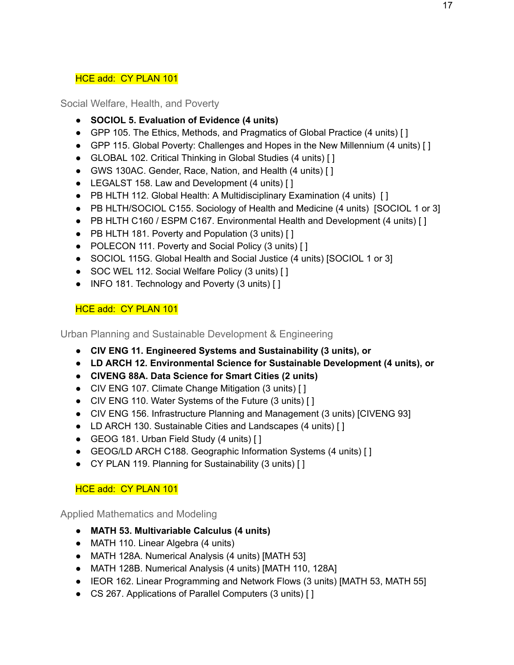#### HCE add: CY PLAN 101

<span id="page-23-0"></span>Social Welfare, Health, and Poverty

- **● SOCIOL 5. Evaluation of Evidence (4 units)**
- GPP 105. The Ethics, Methods, and Pragmatics of Global Practice (4 units) []
- GPP 115. Global Poverty: Challenges and Hopes in the New Millennium (4 units) [ ]
- GLOBAL 102. Critical Thinking in Global Studies (4 units) [ ]
- GWS 130AC. Gender, Race, Nation, and Health (4 units) [ ]
- LEGALST 158. Law and Development (4 units) [ ]
- PB HLTH 112. Global Health: A Multidisciplinary Examination (4 units) [ ]
- PB HLTH/SOCIOL C155. Sociology of Health and Medicine (4 units) [SOCIOL 1 or 3]
- PB HLTH C160 / ESPM C167. Environmental Health and Development (4 units) [1]
- PB HLTH 181. Poverty and Population (3 units) [ ]
- POLECON 111. Poverty and Social Policy (3 units) [ ]
- SOCIOL 115G. Global Health and Social Justice (4 units) [SOCIOL 1 or 3]
- SOC WEL 112. Social Welfare Policy (3 units) [ ]
- INFO 181. Technology and Poverty (3 units) [ ]

## HCE add: CY PLAN 101

<span id="page-23-1"></span>Urban Planning and Sustainable Development & Engineering

- **● CIV ENG 11. Engineered Systems and Sustainability (3 units), or**
- **● LD ARCH 12. Environmental Science for Sustainable Development (4 units), or**
- **● CIVENG 88A. Data Science for Smart Cities (2 units)**
- CIV ENG 107. Climate Change Mitigation (3 units) [ ]
- CIV ENG 110. Water Systems of the Future (3 units) []
- CIV ENG 156. Infrastructure Planning and Management (3 units) [CIVENG 93]
- LD ARCH 130. Sustainable Cities and Landscapes (4 units) [ ]
- GEOG 181. Urban Field Study (4 units) [ ]
- GEOG/LD ARCH C188. Geographic Information Systems (4 units) [ ]
- CY PLAN 119. Planning for Sustainability (3 units) [ ]

#### HCE add: CY PLAN 101

<span id="page-23-2"></span>Applied Mathematics and Modeling

- **● MATH 53. Multivariable Calculus (4 units)**
- MATH 110. Linear Algebra (4 units)
- MATH 128A. Numerical Analysis (4 units) [MATH 53]
- MATH 128B. Numerical Analysis (4 units) [MATH 110, 128A]
- IEOR 162. Linear Programming and Network Flows (3 units) [MATH 53, MATH 55]
- CS 267. Applications of Parallel Computers (3 units) [ ]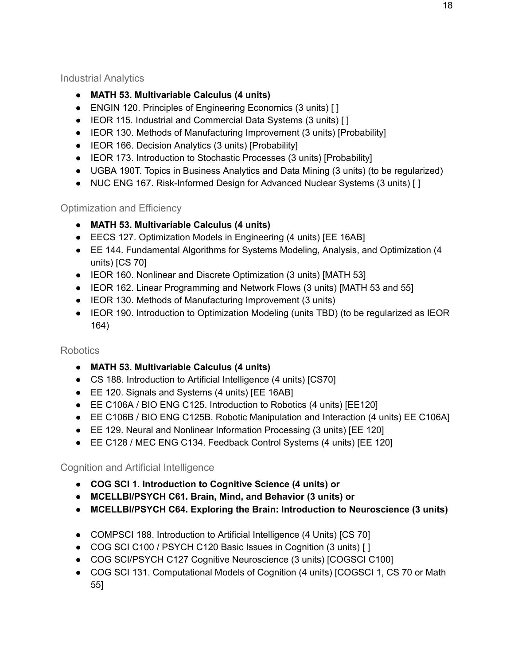#### <span id="page-24-0"></span>Industrial Analytics

- **● MATH 53. Multivariable Calculus (4 units)**
- ENGIN 120. Principles of Engineering Economics (3 units) [ ]
- IEOR 115. Industrial and Commercial Data Systems (3 units) [ ]
- IEOR 130. Methods of Manufacturing Improvement (3 units) [Probability]
- IEOR 166. Decision Analytics (3 units) [Probability]
- IEOR 173. Introduction to Stochastic Processes (3 units) [Probability]
- UGBA 190T. Topics in Business Analytics and Data Mining (3 units) (to be regularized)
- NUC ENG 167. Risk-Informed Design for Advanced Nuclear Systems (3 units) []

## <span id="page-24-1"></span>Optimization and Efficiency

- **● MATH 53. Multivariable Calculus (4 units)**
- EECS 127. Optimization Models in Engineering (4 units) [EE 16AB]
- EE 144. Fundamental Algorithms for Systems Modeling, Analysis, and Optimization (4 units) [CS 70]
- IEOR 160. Nonlinear and Discrete Optimization (3 units) [MATH 53]
- IEOR 162. Linear Programming and Network Flows (3 units) [MATH 53 and 55]
- IEOR 130. Methods of Manufacturing Improvement (3 units)
- IEOR 190. Introduction to Optimization Modeling (units TBD) (to be regularized as IEOR 164)

## <span id="page-24-2"></span>Robotics

- **● MATH 53. Multivariable Calculus (4 units)**
- CS 188. Introduction to Artificial Intelligence (4 units) [CS70]
- EE 120. Signals and Systems (4 units) [EE 16AB]
- EE C106A / BIO ENG C125. Introduction to Robotics (4 units) [EE120]
- EE C106B / BIO ENG C125B. Robotic Manipulation and Interaction (4 units) EE C106A]
- EE 129. Neural and Nonlinear Information Processing (3 units) [EE 120]
- EE C128 / MEC ENG C134. Feedback Control Systems (4 units) [EE 120]

## <span id="page-24-3"></span>Cognition and Artificial Intelligence

- **● COG SCI 1. Introduction to Cognitive Science (4 units) or**
- **● MCELLBI/PSYCH C61. Brain, Mind, and Behavior (3 units) or**
- **● MCELLBI/PSYCH C64. Exploring the Brain: Introduction to Neuroscience (3 units)**
- COMPSCI 188. Introduction to Artificial Intelligence (4 Units) [CS 70]
- COG SCI C100 / PSYCH C120 Basic Issues in Cognition (3 units) [ ]
- COG SCI/PSYCH C127 Cognitive Neuroscience (3 units) [COGSCI C100]
- COG SCI 131. Computational Models of Cognition (4 units) [COGSCI 1, CS 70 or Math 55]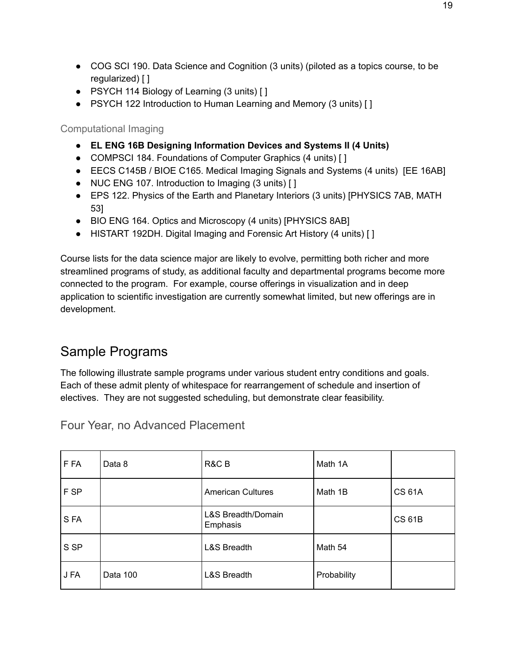- COG SCI 190. Data Science and Cognition (3 units) (piloted as a topics course, to be regularized) [ ]
- PSYCH 114 Biology of Learning (3 units) [ ]
- PSYCH 122 Introduction to Human Learning and Memory (3 units) [ ]

<span id="page-25-0"></span>Computational Imaging

- **● EL ENG 16B Designing Information Devices and Systems II (4 Units)**
- COMPSCI 184. Foundations of Computer Graphics (4 units) [ ]
- EECS C145B / BIOE C165. Medical Imaging Signals and Systems (4 units) [EE 16AB]
- NUC ENG 107. Introduction to Imaging (3 units) [ ]
- EPS 122. Physics of the Earth and Planetary Interiors (3 units) [PHYSICS 7AB, MATH 53]
- BIO ENG 164. Optics and Microscopy (4 units) [PHYSICS 8AB]
- HISTART 192DH. Digital Imaging and Forensic Art History (4 units) [ ]

Course lists for the data science major are likely to evolve, permitting both richer and more streamlined programs of study, as additional faculty and departmental programs become more connected to the program. For example, course offerings in visualization and in deep application to scientific investigation are currently somewhat limited, but new offerings are in development.

# <span id="page-25-1"></span>Sample Programs

The following illustrate sample programs under various student entry conditions and goals. Each of these admit plenty of whitespace for rearrangement of schedule and insertion of electives. They are not suggested scheduling, but demonstrate clear feasibility.

| F FA | Data 8   | R&C B                          | Math 1A     |               |
|------|----------|--------------------------------|-------------|---------------|
| F SP |          | <b>American Cultures</b>       | Math 1B     | <b>CS 61A</b> |
| S FA |          | L&S Breadth/Domain<br>Emphasis |             | <b>CS 61B</b> |
| S SP |          | <b>L&amp;S Breadth</b>         | Math 54     |               |
| J FA | Data 100 | <b>L&amp;S Breadth</b>         | Probability |               |

<span id="page-25-2"></span>Four Year, no Advanced Placement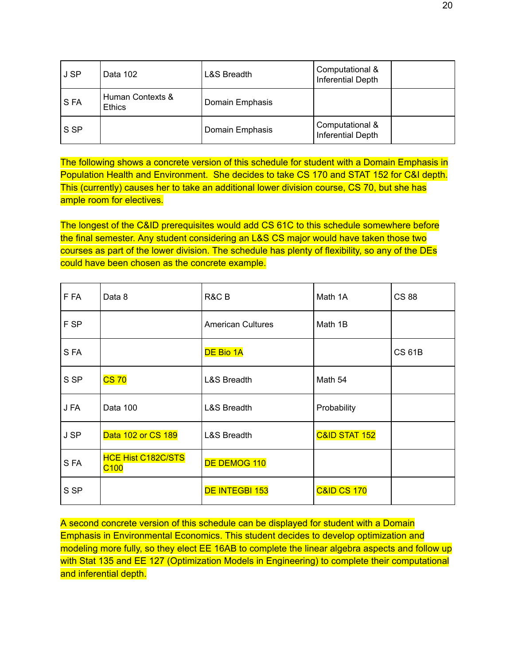| J SP | Data 102                          | <b>L&amp;S Breadth</b> | Computational &<br>Inferential Depth |  |
|------|-----------------------------------|------------------------|--------------------------------------|--|
| S FA | Human Contexts &<br><b>Ethics</b> | Domain Emphasis        |                                      |  |
| S SP |                                   | Domain Emphasis        | Computational &<br>Inferential Depth |  |

The following shows a concrete version of this schedule for student with a Domain Emphasis in Population Health and Environment. She decides to take CS 170 and STAT 152 for C&I depth. This (currently) causes her to take an additional lower division course, CS 70, but she has ample room for electives.

The longest of the C&ID prerequisites would add CS 61C to this schedule somewhere before the final semester. Any student considering an L&S CS major would have taken those two courses as part of the lower division. The schedule has plenty of flexibility, so any of the DEs could have been chosen as the concrete example.

| F FA | Data 8                                        | R&C B                    | Math 1A                  | <b>CS 88</b>  |
|------|-----------------------------------------------|--------------------------|--------------------------|---------------|
| F SP |                                               | <b>American Cultures</b> | Math 1B                  |               |
| S FA |                                               | DE Bio 1A                |                          | <b>CS 61B</b> |
| S SP | <b>CS 70</b>                                  | <b>L&amp;S Breadth</b>   | Math 54                  |               |
| J FA | Data 100                                      | <b>L&amp;S Breadth</b>   | Probability              |               |
| J SP | Data 102 or CS 189                            | <b>L&amp;S Breadth</b>   | <b>C&amp;ID STAT 152</b> |               |
| SFA  | <b>HCE Hist C182C/STS</b><br>C <sub>100</sub> | DE DEMOG 110             |                          |               |
| S SP |                                               | <b>DE INTEGBI 153</b>    | <b>C&amp;ID CS 170</b>   |               |

A second concrete version of this schedule can be displayed for student with a Domain Emphasis in Environmental Economics. This student decides to develop optimization and modeling more fully, so they elect EE 16AB to complete the linear algebra aspects and follow up with Stat 135 and EE 127 (Optimization Models in Engineering) to complete their computational and inferential depth.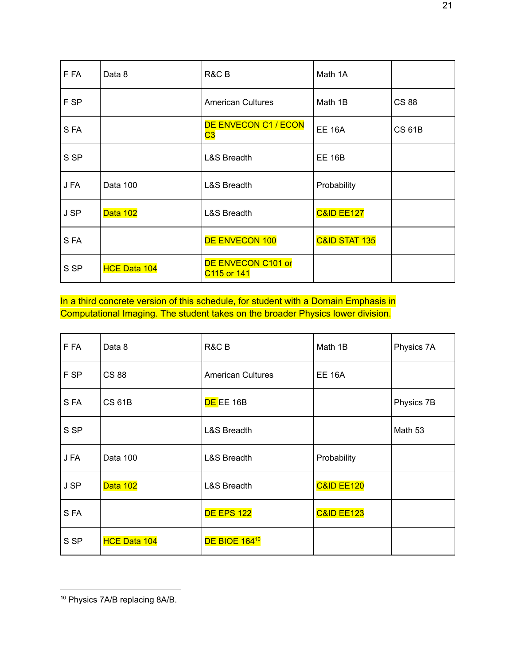| F FA | Data 8              | R&C B                             | Math 1A                  |               |
|------|---------------------|-----------------------------------|--------------------------|---------------|
| F SP |                     | <b>American Cultures</b>          | Math 1B                  | <b>CS 88</b>  |
| S FA |                     | <b>DE ENVECON C1 / ECON</b><br>C3 | <b>EE 16A</b>            | <b>CS 61B</b> |
| S SP |                     | <b>L&amp;S Breadth</b>            | <b>EE 16B</b>            |               |
| J FA | Data 100            | <b>L&amp;S Breadth</b>            | Probability              |               |
| J SP | Data 102            | <b>L&amp;S Breadth</b>            | <b>C&amp;ID EE127</b>    |               |
| SFA  |                     | DE ENVECON 100                    | <b>C&amp;ID STAT 135</b> |               |
| S SP | <b>HCE Data 104</b> | DE ENVECON C101 or<br>C115 or 141 |                          |               |

In a third concrete version of this schedule, for student with a Domain Emphasis in Computational Imaging. The student takes on the broader Physics lower division.

| F FA | Data 8              | R&C B                     | Math 1B               | Physics 7A |
|------|---------------------|---------------------------|-----------------------|------------|
| F SP | <b>CS 88</b>        | <b>American Cultures</b>  | <b>EE 16A</b>         |            |
| SFA  | <b>CS 61B</b>       | DE EE 16B                 |                       | Physics 7B |
| S SP |                     | <b>L&amp;S Breadth</b>    |                       | Math 53    |
| J FA | Data 100            | <b>L&amp;S Breadth</b>    | Probability           |            |
| J SP | Data 102            | <b>L&amp;S Breadth</b>    | <b>C&amp;ID EE120</b> |            |
| SFA  |                     | <b>DE EPS 122</b>         | <b>C&amp;ID EE123</b> |            |
| S SP | <b>HCE Data 104</b> | DE BIOE 164 <sup>10</sup> |                       |            |

<sup>10</sup> Physics 7A/B replacing 8A/B.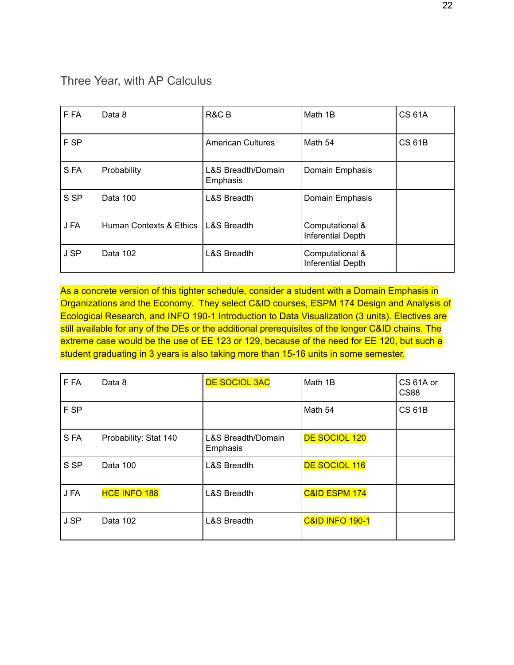## <span id="page-28-0"></span>Three Year, with AP Calculus

| F FA | Data 8                  | R&C B                                     | Math 1B                                     | <b>CS 61A</b> |
|------|-------------------------|-------------------------------------------|---------------------------------------------|---------------|
| F SP |                         | <b>American Cultures</b>                  | Math 54                                     | <b>CS 61B</b> |
| SFA  | Probability             | <b>L&amp;S Breadth/Domain</b><br>Emphasis | Domain Emphasis                             |               |
| S SP | Data 100                | <b>L&amp;S Breadth</b>                    | Domain Emphasis                             |               |
| J FA | Human Contexts & Ethics | L&S Breadth                               | Computational &<br><b>Inferential Depth</b> |               |
| J SP | Data 102                | <b>L&amp;S Breadth</b>                    | Computational &<br><b>Inferential Depth</b> |               |

As a concrete version of this tighter schedule, consider a student with a Domain Emphasis in Organizations and the Economy. They select C&ID courses, ESPM 174 Design and Analysis of Ecological Research, and INFO 190-1 Introduction to Data Visualization (3 units). Electives are still available for any of the DEs or the additional prerequisites of the longer C&ID chains. The extreme case would be the use of EE 123 or 129, because of the need for EE 120, but such a student graduating in 3 years is also taking more than 15-16 units in some semester.

| F FA | Data 8                | <b>DE SOCIOL 3AC</b>                      | Math 1B                    | CS 61A or<br>CS88 |
|------|-----------------------|-------------------------------------------|----------------------------|-------------------|
| F SP |                       |                                           | Math 54                    | <b>CS 61B</b>     |
| SFA  | Probability: Stat 140 | <b>L&amp;S Breadth/Domain</b><br>Emphasis | DE SOCIOL 120              |                   |
| S SP | Data 100              | <b>L&amp;S Breadth</b>                    | DE SOCIOL 116              |                   |
| J FA | <b>HCE INFO 188</b>   | <b>L&amp;S Breadth</b>                    | <b>C&amp;ID ESPM 174</b>   |                   |
| J SP | Data 102              | <b>L&amp;S Breadth</b>                    | <b>C&amp;ID INFO 190-1</b> |                   |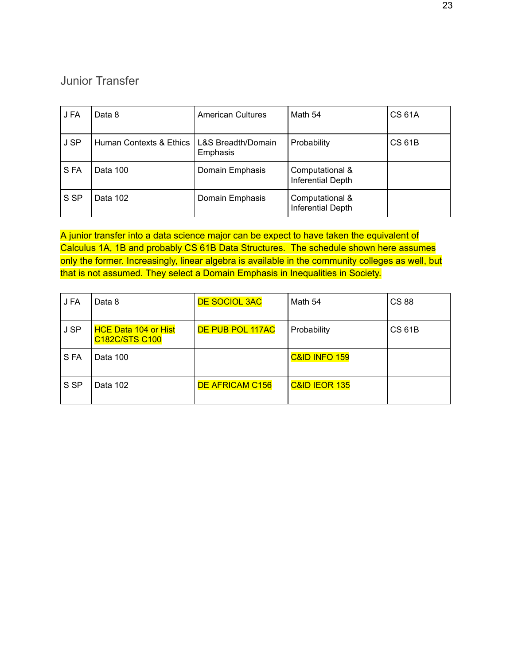# <span id="page-29-0"></span>Junior Transfer

| J FA | Data 8                  | <b>American Cultures</b>       | Math 54                                     | <b>CS 61A</b> |
|------|-------------------------|--------------------------------|---------------------------------------------|---------------|
| J SP | Human Contexts & Ethics | L&S Breadth/Domain<br>Emphasis | Probability                                 | <b>CS 61B</b> |
| S FA | Data 100                | Domain Emphasis                | Computational &<br><b>Inferential Depth</b> |               |
| S SP | Data 102                | Domain Emphasis                | Computational &<br><b>Inferential Depth</b> |               |

A junior transfer into a data science major can be expect to have taken the equivalent of Calculus 1A, 1B and probably CS 61B Data Structures. The schedule shown here assumes only the former. Increasingly, linear algebra is available in the community colleges as well, but that is not assumed. They select a Domain Emphasis in Inequalities in Society.

| J FA | Data 8                                               | <b>DE SOCIOL 3AC</b> | Math 54                  | <b>CS 88</b>  |
|------|------------------------------------------------------|----------------------|--------------------------|---------------|
| J SP | <b>HCE Data 104 or Hist</b><br><b>C182C/STS C100</b> | DE PUB POL 117AC     | Probability              | <b>CS 61B</b> |
| S FA | Data 100                                             |                      | <b>C&amp;ID INFO 159</b> |               |
| S SP | Data 102                                             | DE AFRICAM C156      | <b>C&amp;ID IEOR 135</b> |               |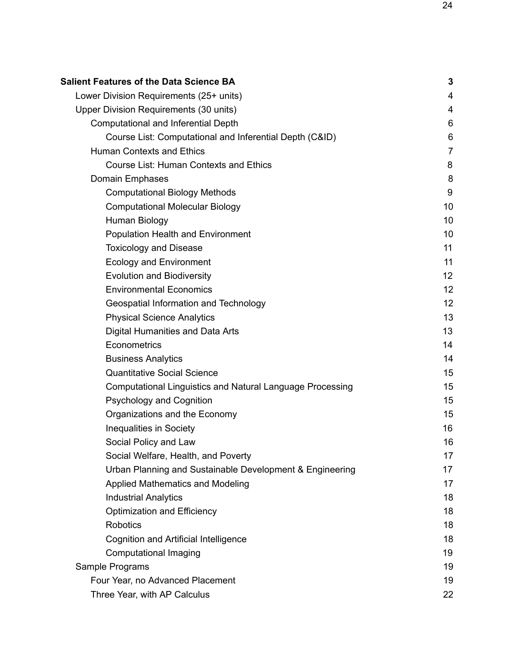| <b>Salient Features of the Data Science BA</b>                   | $\mathbf 3$    |
|------------------------------------------------------------------|----------------|
| Lower Division Requirements (25+ units)                          | 4              |
| Upper Division Requirements (30 units)                           | 4              |
| <b>Computational and Inferential Depth</b>                       | 6              |
| Course List: Computational and Inferential Depth (C&ID)          | 6              |
| <b>Human Contexts and Ethics</b>                                 | $\overline{7}$ |
| <b>Course List: Human Contexts and Ethics</b>                    | 8              |
| Domain Emphases                                                  | 8              |
| <b>Computational Biology Methods</b>                             | 9              |
| <b>Computational Molecular Biology</b>                           | 10             |
| Human Biology                                                    | 10             |
| <b>Population Health and Environment</b>                         | 10             |
| <b>Toxicology and Disease</b>                                    | 11             |
| <b>Ecology and Environment</b>                                   | 11             |
| <b>Evolution and Biodiversity</b>                                | 12             |
| <b>Environmental Economics</b>                                   | 12             |
| Geospatial Information and Technology                            | 12             |
| <b>Physical Science Analytics</b>                                | 13             |
| Digital Humanities and Data Arts                                 | 13             |
| Econometrics                                                     | 14             |
| <b>Business Analytics</b>                                        | 14             |
| <b>Quantitative Social Science</b>                               | 15             |
| <b>Computational Linguistics and Natural Language Processing</b> | 15             |
| <b>Psychology and Cognition</b>                                  | 15             |
| Organizations and the Economy                                    | 15             |
| <b>Inequalities in Society</b>                                   | 16             |
| Social Policy and Law                                            | 16             |
| Social Welfare, Health, and Poverty                              | 17             |
| Urban Planning and Sustainable Development & Engineering         | 17             |
| Applied Mathematics and Modeling                                 | 17             |
| <b>Industrial Analytics</b>                                      | 18             |
| <b>Optimization and Efficiency</b>                               | 18             |
| <b>Robotics</b>                                                  | 18             |
| <b>Cognition and Artificial Intelligence</b>                     | 18             |
| <b>Computational Imaging</b>                                     | 19             |
| Sample Programs                                                  | 19             |
| Four Year, no Advanced Placement                                 | 19             |
| Three Year, with AP Calculus                                     | 22             |